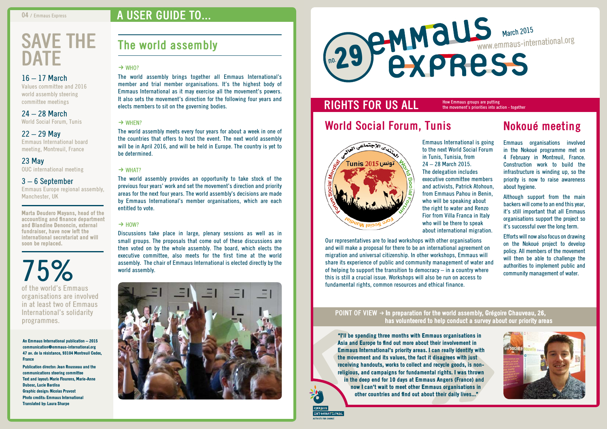"I'll be spending three months with Emmaus organisations in Asia and Europe to find out more about their involvement in Emmaus International's priority areas. I can really identify with the movement and its values, the fact it disagrees with just receiving handouts, works to collect and recycle goods, is nonreligious, and campaigns for fundamental rights. I was thrown in the deep end for 10 days at Emmaus Angers (France) and now I can't wait to meet other Emmaus organisations in other countries and find out about their daily lives..."

#### **POINT OF VIEW**  $\rightarrow$  **In preparation for the world assembly, Grégoire Chauveau, 26,** has volunteered to help conduct a survey about our priority areas

# **RIGHTS FOR US ALL**



# **World Social Forum, Tunis**



to the next World Social Forum executive committee members and activists, Patrick Atohoun, from Emmaus Pahou in Benin,

Emmaus International is going in Tunis, Tunisia, from 24 – 28 March 2015. The delegation includes who will be speaking about the right to water and Renzo Fior from Villa Franca in Italy who will be there to speak about international migration.

Our representatives are to lead workshops with other organisations and will make a proposal for there to be an international agreement on migration and universal citizenship. In other workshops, Emmaus will share its experience of public and community management of water and of helping to support the transition to democracy  $-$  in a country where this is still a crucial issue. Workshops will also be run on access to fundamental rights, common resources and ethical finance.

# **Nokoué meeting**

Emmaus organisations involved in the Nokoué programme met on 4 February in Montreuil, France. Construction work to build the infrastructure is winding up, so the priority is now to raise awareness about hygiene.

# **save the DATE**

Although support from the main backers will come to an end this year, it's still important that all Emmaus organisations support the project so it's successful over the long term.

Efforts will now also focus on drawing on the Nokoué project to develop policy. All members of the movement will then be able to challenge the authorities to implement public and community management of water.



How Emmaus groups are putting the movement's priorities into action - together

# **The world assembly**

#### $\rightarrow$  WHO?

The world assembly brings together all Emmaus International's member and trial member organisations. It's the highest body of Emmaus International as it may exercise all the movement's powers. It also sets the movement's direction for the following four years and elects members to sit on the governing bodies.

#### $\rightarrow$  WHEN?

The world assembly meets every four years for about a week in one of the countries that offers to host the event. The next world assembly will be in April 2016, and will be held in Europe. The country is yet to be determined.

#### $\rightarrow$  WHAT?

The world assembly provides an opportunity to take stock of the previous four years' work and set the movement's direction and priority areas for the next four years. The world assembly's decisions are made by Emmaus International's member organisations, which are each entitled to vote.

#### $\rightarrow$  HOW?

Discussions take place in large, plenary sessions as well as in small groups. The proposals that come out of these discussions are then voted on by the whole assembly. The board, which elects the executive committee, also meets for the first time at the world assembly. The chair of Emmaus International is elected directly by the world assembly.



#### 16 – 17 March

Values committee and 2016 world assembly steering committee meetings

24 – 28 March

World Social Forum, Tunis

#### $22 - 29$  May

Emmaus International board meeting, Montreuil, France

23 May OUC international meeting

#### 3 – 6 September

Emmaus Europe regional assembly, Manchester, UK

Marta Deudero Mayans, head of the accounting and finance department and Blandine Denoncin, external fundraiser, have now left the international secretariat and will soon be replaced.

75% of the world's Emmaus organisations are involved in at least two of Emmaus International's solidarity programmes.

An Emmaus International publication – 2015 communication@emmaus-international.org 47 av. de la résistance, 93104 Montreuil Cedex, France

Publication director: Jean Rousseau and the communications steering committee Text and layout: Marie Flourens, Marie-Anne Dubosc, Lucie Bardisa Graphic design: Nicolas Pruvost Photo credits: Emmaus International Translated by: Laura Sharpe

# **a user guide to...**